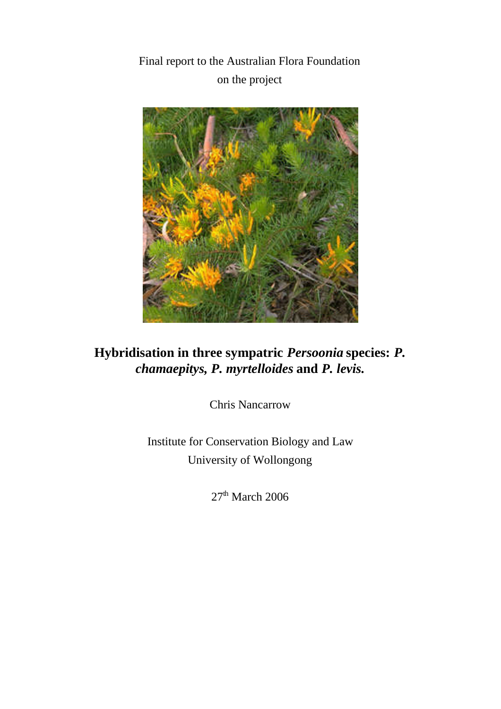Final report to the Australian Flora Foundation on the project



**Hybridisation in three sympatric** *Persoonia* **species:** *P. chamaepitys, P. myrtelloides* **and** *P. levis.*

Chris Nancarrow

Institute for Conservation Biology and Law University of Wollongong

 $27<sup>th</sup>$  March 2006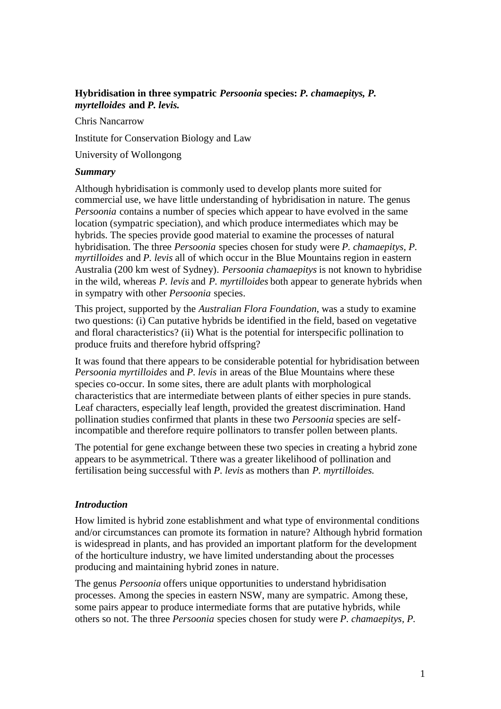# **Hybridisation in three sympatric** *Persoonia* **species:** *P. chamaepitys, P. myrtelloides* **and** *P. levis.*

Chris Nancarrow

Institute for Conservation Biology and Law

University of Wollongong

#### *Summary*

Although hybridisation is commonly used to develop plants more suited for commercial use, we have little understanding of hybridisation in nature. The genus *Persoonia* contains a number of species which appear to have evolved in the same location (sympatric speciation), and which produce intermediates which may be hybrids. The species provide good material to examine the processes of natural hybridisation. The three *Persoonia* species chosen for study were *P. chamaepitys, P. myrtilloides* and *P. levis* all of which occur in the Blue Mountains region in eastern Australia (200 km west of Sydney). *Persoonia chamaepitys* is not known to hybridise in the wild, whereas *P. levis* and *P. myrtilloides* both appear to generate hybrids when in sympatry with other *Persoonia* species.

This project, supported by the *Australian Flora Foundation*, was a study to examine two questions: (i) Can putative hybrids be identified in the field, based on vegetative and floral characteristics? (ii) What is the potential for interspecific pollination to produce fruits and therefore hybrid offspring?

It was found that there appears to be considerable potential for hybridisation between *Persoonia myrtilloides* and *P. levis* in areas of the Blue Mountains where these species co-occur. In some sites, there are adult plants with morphological characteristics that are intermediate between plants of either species in pure stands. Leaf characters, especially leaf length, provided the greatest discrimination. Hand pollination studies confirmed that plants in these two *Persoonia* species are selfincompatible and therefore require pollinators to transfer pollen between plants.

The potential for gene exchange between these two species in creating a hybrid zone appears to be asymmetrical. Tthere was a greater likelihood of pollination and fertilisation being successful with *P. levis* as mothers than *P. myrtilloides.*

#### *Introduction*

How limited is hybrid zone establishment and what type of environmental conditions and/or circumstances can promote its formation in nature? Although hybrid formation is widespread in plants, and has provided an important platform for the development of the horticulture industry, we have limited understanding about the processes producing and maintaining hybrid zones in nature.

The genus *Persoonia* offers unique opportunities to understand hybridisation processes. Among the species in eastern NSW, many are sympatric. Among these, some pairs appear to produce intermediate forms that are putative hybrids, while others so not. The three *Persoonia* species chosen for study were *P. chamaepitys, P.*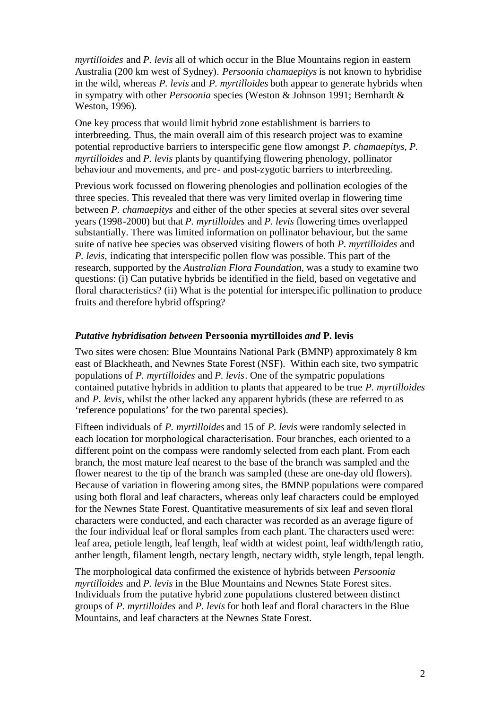*myrtilloides* and *P. levis* all of which occur in the Blue Mountains region in eastern Australia (200 km west of Sydney). *Persoonia chamaepitys* is not known to hybridise in the wild, whereas *P. levis* and *P. myrtilloides* both appear to generate hybrids when in sympatry with other *Persoonia* species (Weston & Johnson 1991; Bernhardt & Weston, 1996).

One key process that would limit hybrid zone establishment is barriers to interbreeding. Thus, the main overall aim of this research project was to examine potential reproductive barriers to interspecific gene flow amongst *P. chamaepitys, P. myrtilloides* and *P. levis* plants by quantifying flowering phenology, pollinator behaviour and movements, and pre- and post-zygotic barriers to interbreeding.

Previous work focussed on flowering phenologies and pollination ecologies of the three species. This revealed that there was very limited overlap in flowering time between *P. chamaepitys* and either of the other species at several sites over several years (1998-2000) but that *P. myrtilloides* and *P. levis* flowering times overlapped substantially. There was limited information on pollinator behaviour, but the same suite of native bee species was observed visiting flowers of both *P. myrtilloides* and *P. levis,* indicating that interspecific pollen flow was possible. This part of the research, supported by the *Australian Flora Foundation*, was a study to examine two questions: (i) Can putative hybrids be identified in the field, based on vegetative and floral characteristics? (ii) What is the potential for interspecific pollination to produce fruits and therefore hybrid offspring?

#### *Putative hybridisation between* **Persoonia myrtilloides** *and* **P. levis**

Two sites were chosen: Blue Mountains National Park (BMNP) approximately 8 km east of Blackheath, and Newnes State Forest (NSF). Within each site, two sympatric populations of *P. myrtilloides* and *P. levis*. One of the sympatric populations contained putative hybrids in addition to plants that appeared to be true *P. myrtilloides* and *P. levis*, whilst the other lacked any apparent hybrids (these are referred to as 'reference populations' for the two parental species).

Fifteen individuals of *P. myrtilloides* and 15 of *P. levis* were randomly selected in each location for morphological characterisation. Four branches, each oriented to a different point on the compass were randomly selected from each plant. From each branch, the most mature leaf nearest to the base of the branch was sampled and the flower nearest to the tip of the branch was sampled (these are one-day old flowers). Because of variation in flowering among sites, the BMNP populations were compared using both floral and leaf characters, whereas only leaf characters could be employed for the Newnes State Forest. Quantitative measurements of six leaf and seven floral characters were conducted, and each character was recorded as an average figure of the four individual leaf or floral samples from each plant. The characters used were: leaf area, petiole length, leaf length, leaf width at widest point, leaf width/length ratio, anther length, filament length, nectary length, nectary width, style length, tepal length.

The morphological data confirmed the existence of hybrids between *Persoonia myrtilloides* and *P. levis* in the Blue Mountains and Newnes State Forest sites. Individuals from the putative hybrid zone populations clustered between distinct groups of *P. myrtilloides* and *P. levis* for both leaf and floral characters in the Blue Mountains, and leaf characters at the Newnes State Forest.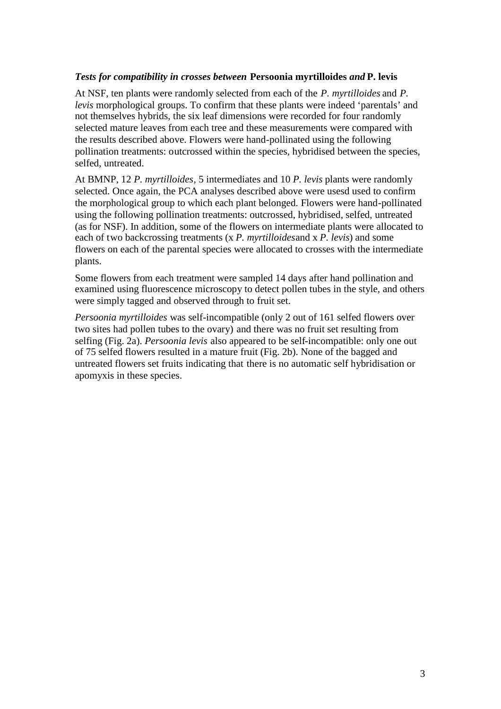## *Tests for compatibility in crosses between* **Persoonia myrtilloides** *and* **P. levis**

At NSF, ten plants were randomly selected from each of the *P. myrtilloides* and *P. levis* morphological groups. To confirm that these plants were indeed 'parentals' and not themselves hybrids, the six leaf dimensions were recorded for four randomly selected mature leaves from each tree and these measurements were compared with the results described above. Flowers were hand-pollinated using the following pollination treatments: outcrossed within the species, hybridised between the species, selfed, untreated.

At BMNP, 12 *P. myrtilloides*, 5 intermediates and 10 *P. levis* plants were randomly selected. Once again, the PCA analyses described above were usesd used to confirm the morphological group to which each plant belonged. Flowers were hand-pollinated using the following pollination treatments: outcrossed, hybridised, selfed, untreated (as for NSF). In addition, some of the flowers on intermediate plants were allocated to each of two backcrossing treatments (x *P. myrtilloides*and x *P. levis*) and some flowers on each of the parental species were allocated to crosses with the intermediate plants.

Some flowers from each treatment were sampled 14 days after hand pollination and examined using fluorescence microscopy to detect pollen tubes in the style, and others were simply tagged and observed through to fruit set.

*Persoonia myrtilloides* was self-incompatible (only 2 out of 161 selfed flowers over two sites had pollen tubes to the ovary) and there was no fruit set resulting from selfing (Fig. 2a). *Persoonia levis* also appeared to be self-incompatible: only one out of 75 selfed flowers resulted in a mature fruit (Fig. 2b). None of the bagged and untreated flowers set fruits indicating that there is no automatic self hybridisation or apomyxis in these species.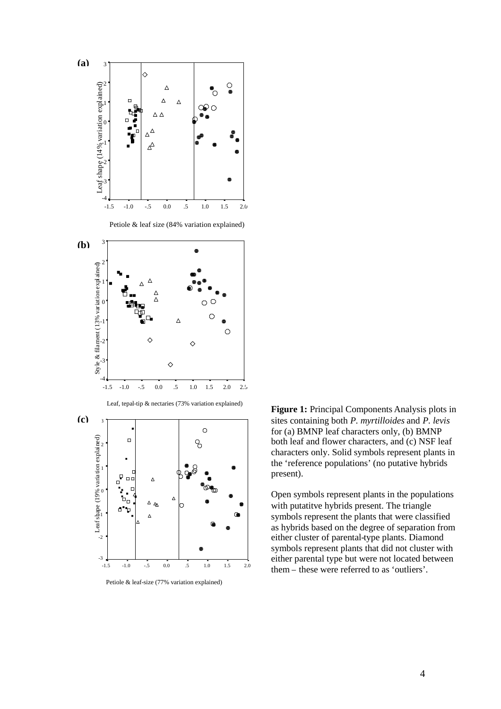

Petiole & leaf-size (77% variation explained)

present). **Figure 1:** Principal Components Analysis plots in sites containing both *P. myrtilloides* and *P. levis* for (a) BMNP leaf characters only, (b) BMNP both leaf and flower characters, and (c) NSF leaf characters only. Solid symbols represent plants in the 'reference populations' (no putative hybrids

 $\Omega_{\text{max}}$ Open symbols represent plants in the populations symbols represent the plants that were classified either cluster of parental-type plants. Diamond symbols represent plants that did not cluster with either parental type but were not located between with putatitve hybrids present. The triangle as hybrids based on the degree of separation from them – these were referred to as 'outliers'.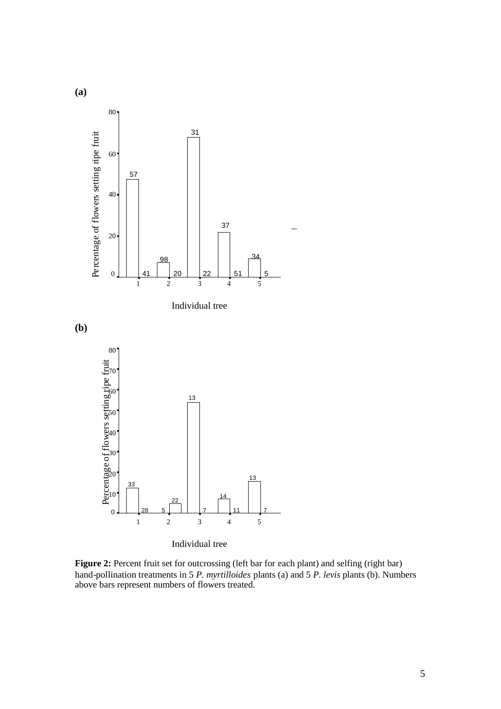

Individual tree

**Figure 2:** Percent fruit set for outcrossing (left bar for each plant) and selfing (right bar) hand-pollination treatments in 5 *P. myrtilloides* plants (a) and 5 *P. levis* plants (b). Numbers above bars represent numbers of flowers treated.

Treatment

**(a)**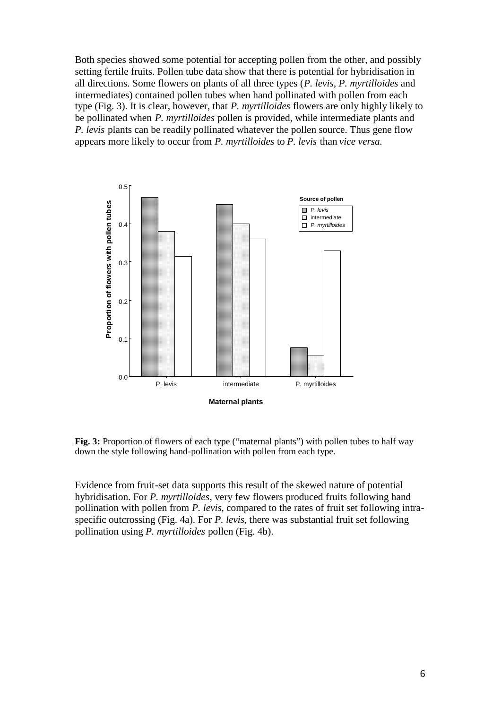Both species showed some potential for accepting pollen from the other, and possibly setting fertile fruits. Pollen tube data show that there is potential for hybridisation in all directions. Some flowers on plants of all three types (*P. levis, P. myrtilloides* and intermediates) contained pollen tubes when hand pollinated with pollen from each type (Fig. 3). It is clear, however, that *P. myrtilloides* flowers are only highly likely to be pollinated when *P. myrtilloides* pollen is provided, while intermediate plants and *P. levis* plants can be readily pollinated whatever the pollen source. Thus gene flow appears more likely to occur from *P. myrtilloides* to *P. levis* than *vice versa.*



Fig. 3: Proportion of flowers of each type ("maternal plants") with pollen tubes to half way down the style following hand-pollination with pollen from each type.

Evidence from fruit-set data supports this result of the skewed nature of potential hybridisation. For *P. myrtilloides*, very few flowers produced fruits following hand pollination with pollen from *P. levis*, compared to the rates of fruit set following intraspecific outcrossing (Fig. 4a). For *P. levis*, there was substantial fruit set following pollination using *P. myrtilloides* pollen (Fig. 4b).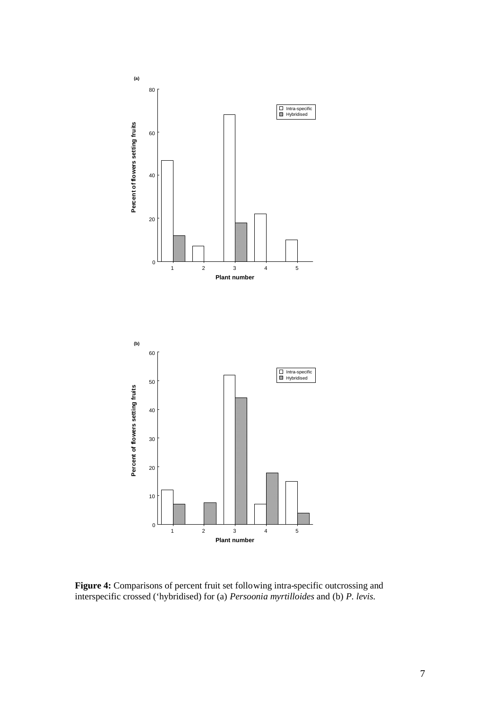

**Figure 4:** Comparisons of percent fruit set following intra-specific outcrossing and interspecific crossed ('hybridised) for (a) *Persoonia myrtilloides* and (b) *P. levis.*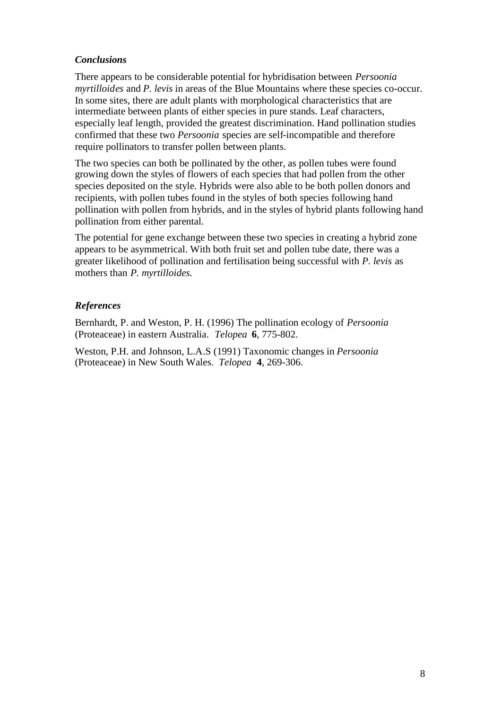## *Conclusions*

There appears to be considerable potential for hybridisation between *Persoonia myrtilloides* and *P. levis* in areas of the Blue Mountains where these species co-occur. In some sites, there are adult plants with morphological characteristics that are intermediate between plants of either species in pure stands. Leaf characters, especially leaf length, provided the greatest discrimination. Hand pollination studies confirmed that these two *Persoonia* species are self-incompatible and therefore require pollinators to transfer pollen between plants.

The two species can both be pollinated by the other, as pollen tubes were found growing down the styles of flowers of each species that had pollen from the other species deposited on the style. Hybrids were also able to be both pollen donors and recipients, with pollen tubes found in the styles of both species following hand pollination with pollen from hybrids, and in the styles of hybrid plants following hand pollination from either parental.

The potential for gene exchange between these two species in creating a hybrid zone appears to be asymmetrical. With both fruit set and pollen tube date, there was a greater likelihood of pollination and fertilisation being successful with *P. levis* as mothers than *P. myrtilloides.*

## *References*

Bernhardt, P. and Weston, P. H. (1996) The pollination ecology of *Persoonia* (Proteaceae) in eastern Australia. *Telopea* **6**, 775-802.

Weston, P.H. and Johnson, L.A.S (1991) Taxonomic changes in *Persoonia* (Proteaceae) in New South Wales. *Telopea* **4**, 269-306.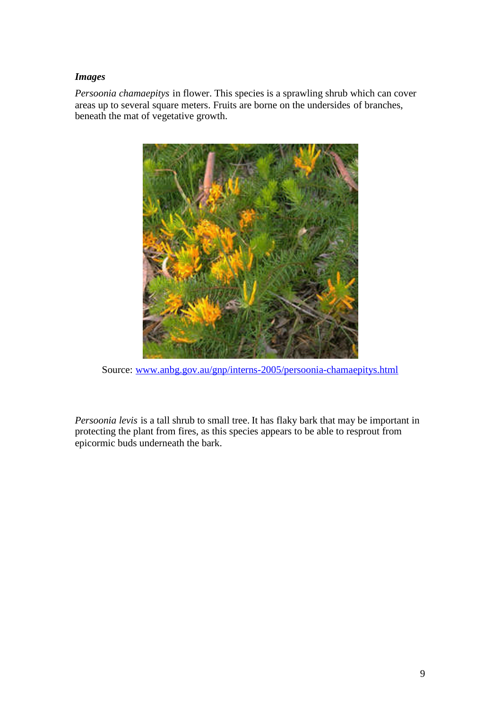## *Images*

*Persoonia chamaepitys* in flower. This species is a sprawling shrub which can cover areas up to several square meters. Fruits are borne on the undersides of branches, beneath the mat of vegetative growth.



Source: [www.anbg.gov.au/gnp/interns-2005/persoonia-chamaepitys.html](http://www.anbg.gov.au/gnp/interns-2005/persoonia-chamaepitys.html)

*Persoonia levis* is a tall shrub to small tree. It has flaky bark that may be important in protecting the plant from fires, as this species appears to be able to resprout from epicormic buds underneath the bark.